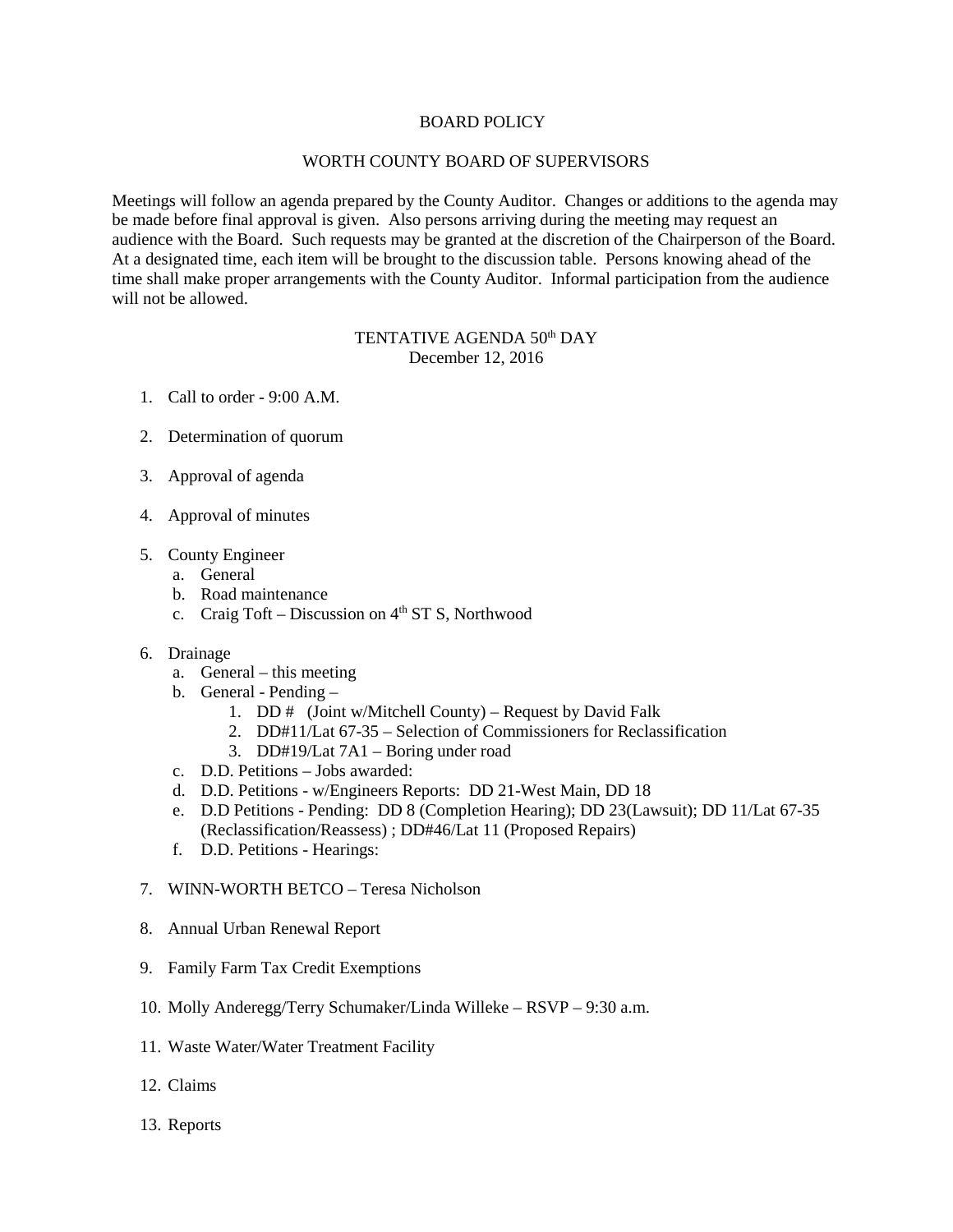## BOARD POLICY

## WORTH COUNTY BOARD OF SUPERVISORS

Meetings will follow an agenda prepared by the County Auditor. Changes or additions to the agenda may be made before final approval is given. Also persons arriving during the meeting may request an audience with the Board. Such requests may be granted at the discretion of the Chairperson of the Board. At a designated time, each item will be brought to the discussion table. Persons knowing ahead of the time shall make proper arrangements with the County Auditor. Informal participation from the audience will not be allowed.

## TENTATIVE AGENDA 50<sup>th</sup> DAY December 12, 2016

- 1. Call to order 9:00 A.M.
- 2. Determination of quorum
- 3. Approval of agenda
- 4. Approval of minutes
- 5. County Engineer
	- a. General
	- b. Road maintenance
	- c. Craig Toft Discussion on  $4<sup>th</sup>$  ST S, Northwood
- 6. Drainage
	- a. General this meeting
	- b. General Pending
		- 1. DD # (Joint w/Mitchell County) Request by David Falk
		- 2. DD#11/Lat 67-35 Selection of Commissioners for Reclassification
		- 3. DD#19/Lat 7A1 Boring under road
	- c. D.D. Petitions Jobs awarded:
	- d. D.D. Petitions w/Engineers Reports: DD 21-West Main, DD 18
	- e. D.D Petitions Pending: DD 8 (Completion Hearing); DD 23(Lawsuit); DD 11/Lat 67-35 (Reclassification/Reassess) ; DD#46/Lat 11 (Proposed Repairs)
	- f. D.D. Petitions Hearings:
- 7. WINN-WORTH BETCO Teresa Nicholson
- 8. Annual Urban Renewal Report
- 9. Family Farm Tax Credit Exemptions
- 10. Molly Anderegg/Terry Schumaker/Linda Willeke RSVP 9:30 a.m.
- 11. Waste Water/Water Treatment Facility
- 12. Claims
- 13. Reports